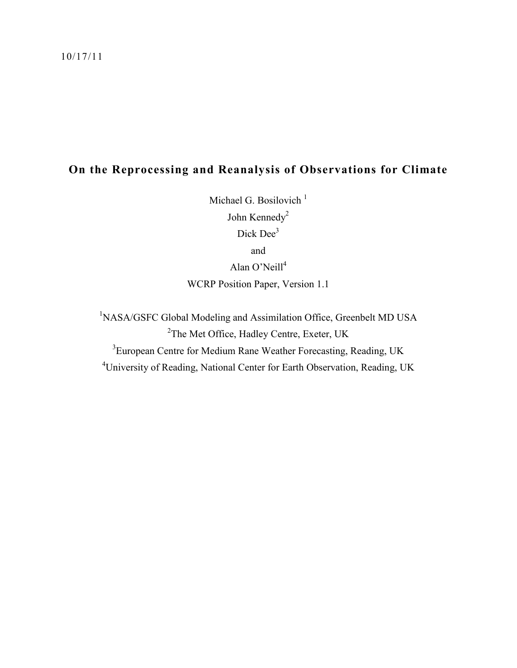## **On the Reprocessing and Reanalysis of Observations for Climate**

Michael G. Bosilovich<sup>1</sup> John Kennedy<sup>2</sup> Dick Dee<sup>3</sup> and Alan O'Neill<sup>4</sup> WCRP Position Paper, Version 1.1

<sup>1</sup>NASA/GSFC Global Modeling and Assimilation Office, Greenbelt MD USA <sup>2</sup>The Met Office, Hadley Centre, Exeter, UK <sup>3</sup> European Centre for Medium Rane Weather Forecasting, Reading, UK <sup>4</sup>University of Reading, National Center for Earth Observation, Reading, UK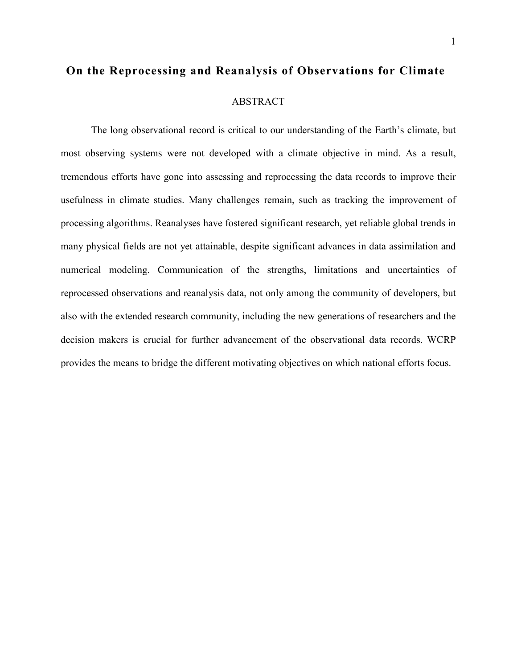# **On the Reprocessing and Reanalysis of Observations for Climate**  ABSTRACT

The long observational record is critical to our understanding of the Earth's climate, but most observing systems were not developed with a climate objective in mind. As a result, tremendous efforts have gone into assessing and reprocessing the data records to improve their usefulness in climate studies. Many challenges remain, such as tracking the improvement of processing algorithms. Reanalyses have fostered significant research, yet reliable global trends in many physical fields are not yet attainable, despite significant advances in data assimilation and numerical modeling. Communication of the strengths, limitations and uncertainties of reprocessed observations and reanalysis data, not only among the community of developers, but also with the extended research community, including the new generations of researchers and the decision makers is crucial for further advancement of the observational data records. WCRP provides the means to bridge the different motivating objectives on which national efforts focus.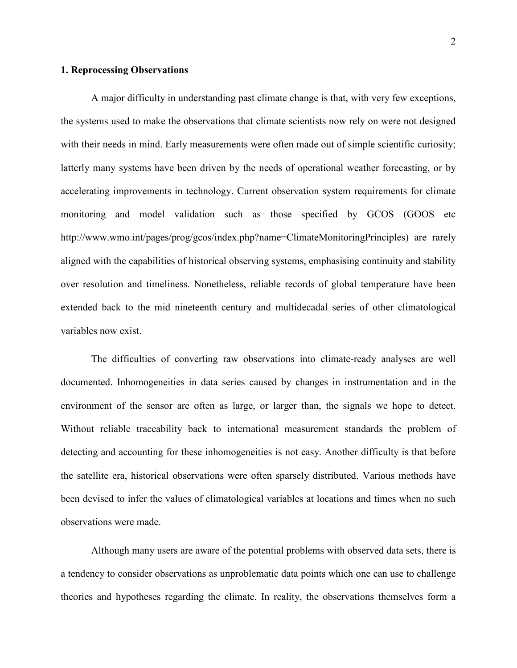#### **1. Reprocessing Observations**

A major difficulty in understanding past climate change is that, with very few exceptions, the systems used to make the observations that climate scientists now rely on were not designed with their needs in mind. Early measurements were often made out of simple scientific curiosity; latterly many systems have been driven by the needs of operational weather forecasting, or by accelerating improvements in technology. Current observation system requirements for climate monitoring and model validation such as those specified by GCOS (GOOS etc http://www.wmo.int/pages/prog/gcos/index.php?name=ClimateMonitoringPrinciples) are rarely aligned with the capabilities of historical observing systems, emphasising continuity and stability over resolution and timeliness. Nonetheless, reliable records of global temperature have been extended back to the mid nineteenth century and multidecadal series of other climatological variables now exist.

The difficulties of converting raw observations into climate-ready analyses are well documented. Inhomogeneities in data series caused by changes in instrumentation and in the environment of the sensor are often as large, or larger than, the signals we hope to detect. Without reliable traceability back to international measurement standards the problem of detecting and accounting for these inhomogeneities is not easy. Another difficulty is that before the satellite era, historical observations were often sparsely distributed. Various methods have been devised to infer the values of climatological variables at locations and times when no such observations were made.

Although many users are aware of the potential problems with observed data sets, there is a tendency to consider observations as unproblematic data points which one can use to challenge theories and hypotheses regarding the climate. In reality, the observations themselves form a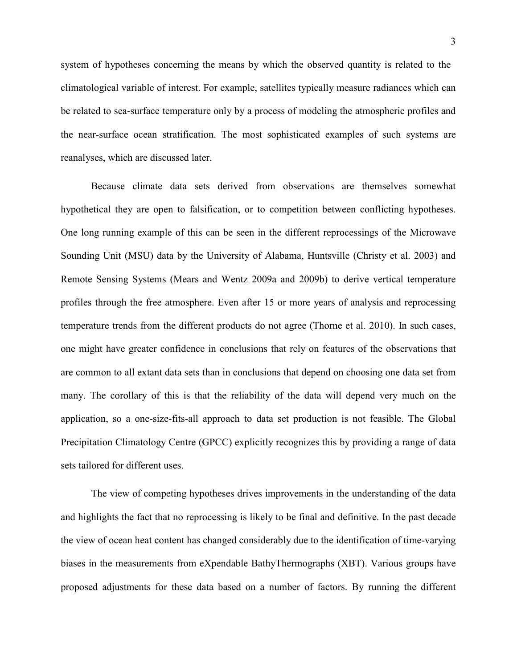system of hypotheses concerning the means by which the observed quantity is related to the climatological variable of interest. For example, satellites typically measure radiances which can be related to sea-surface temperature only by a process of modeling the atmospheric profiles and the near-surface ocean stratification. The most sophisticated examples of such systems are reanalyses, which are discussed later.

Because climate data sets derived from observations are themselves somewhat hypothetical they are open to falsification, or to competition between conflicting hypotheses. One long running example of this can be seen in the different reprocessings of the Microwave Sounding Unit (MSU) data by the University of Alabama, Huntsville (Christy et al. 2003) and Remote Sensing Systems (Mears and Wentz 2009a and 2009b) to derive vertical temperature profiles through the free atmosphere. Even after 15 or more years of analysis and reprocessing temperature trends from the different products do not agree (Thorne et al. 2010). In such cases, one might have greater confidence in conclusions that rely on features of the observations that are common to all extant data sets than in conclusions that depend on choosing one data set from many. The corollary of this is that the reliability of the data will depend very much on the application, so a one-size-fits-all approach to data set production is not feasible. The Global Precipitation Climatology Centre (GPCC) explicitly recognizes this by providing a range of data sets tailored for different uses.

The view of competing hypotheses drives improvements in the understanding of the data and highlights the fact that no reprocessing is likely to be final and definitive. In the past decade the view of ocean heat content has changed considerably due to the identification of time-varying biases in the measurements from eXpendable BathyThermographs (XBT). Various groups have proposed adjustments for these data based on a number of factors. By running the different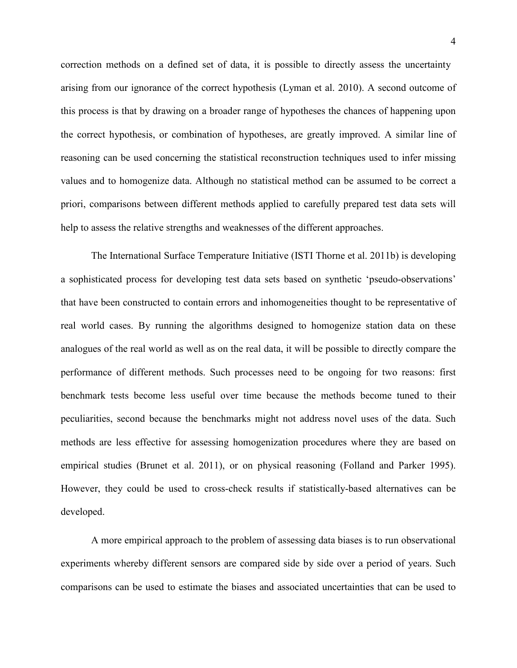correction methods on a defined set of data, it is possible to directly assess the uncertainty arising from our ignorance of the correct hypothesis (Lyman et al. 2010). A second outcome of this process is that by drawing on a broader range of hypotheses the chances of happening upon the correct hypothesis, or combination of hypotheses, are greatly improved. A similar line of reasoning can be used concerning the statistical reconstruction techniques used to infer missing values and to homogenize data. Although no statistical method can be assumed to be correct a priori, comparisons between different methods applied to carefully prepared test data sets will help to assess the relative strengths and weaknesses of the different approaches.

The International Surface Temperature Initiative (ISTI Thorne et al. 2011b) is developing a sophisticated process for developing test data sets based on synthetic 'pseudo-observations' that have been constructed to contain errors and inhomogeneities thought to be representative of real world cases. By running the algorithms designed to homogenize station data on these analogues of the real world as well as on the real data, it will be possible to directly compare the performance of different methods. Such processes need to be ongoing for two reasons: first benchmark tests become less useful over time because the methods become tuned to their peculiarities, second because the benchmarks might not address novel uses of the data. Such methods are less effective for assessing homogenization procedures where they are based on empirical studies (Brunet et al. 2011), or on physical reasoning (Folland and Parker 1995). However, they could be used to cross-check results if statistically-based alternatives can be developed.

A more empirical approach to the problem of assessing data biases is to run observational experiments whereby different sensors are compared side by side over a period of years. Such comparisons can be used to estimate the biases and associated uncertainties that can be used to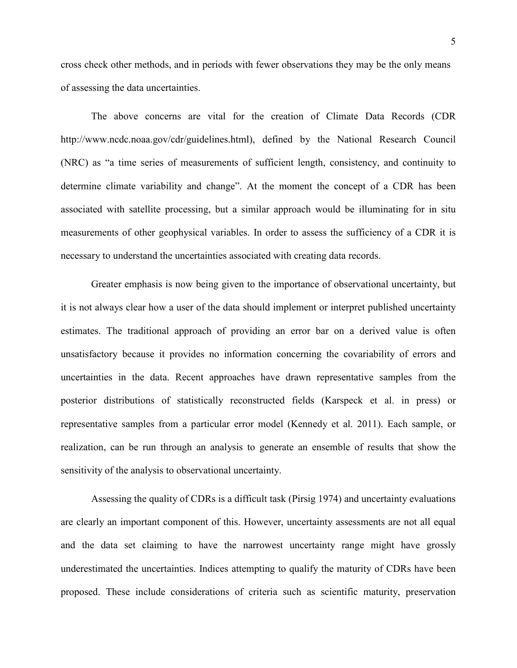cross check other methods, and in periods with fewer observations they may be the only means of assessing the data uncertainties.

The above concerns are vital for the creation of Climate Data Records (CDR http://www.ncdc.noaa.gov/cdr/guidelines.html), defined by the National Research Council (NRC) as "a time series of measurements of sufficient length, consistency, and continuity to determine climate variability and change". At the moment the concept of a CDR has been associated with satellite processing, but a similar approach would be illuminating for in situ measurements of other geophysical variables. In order to assess the sufficiency of a CDR it is necessary to understand the uncertainties associated with creating data records.

Greater emphasis is now being given to the importance of observational uncertainty, but it is not always clear how a user of the data should implement or interpret published uncertainty estimates. The traditional approach of providing an error bar on a derived value is often unsatisfactory because it provides no information concerning the covariability of errors and uncertainties in the data. Recent approaches have drawn representative samples from the posterior distributions of statistically reconstructed fields (Karspeck et al. in press) or representative samples from a particular error model (Kennedy et al. 2011). Each sample, or realization, can be run through an analysis to generate an ensemble of results that show the sensitivity of the analysis to observational uncertainty.

Assessing the quality of CDRs is a difficult task (Pirsig 1974) and uncertainty evaluations are clearly an important component of this. However, uncertainty assessments are not all equal and the data set claiming to have the narrowest uncertainty range might have grossly underestimated the uncertainties. Indices attempting to qualify the maturity of CDRs have been proposed. These include considerations of criteria such as scientific maturity, preservation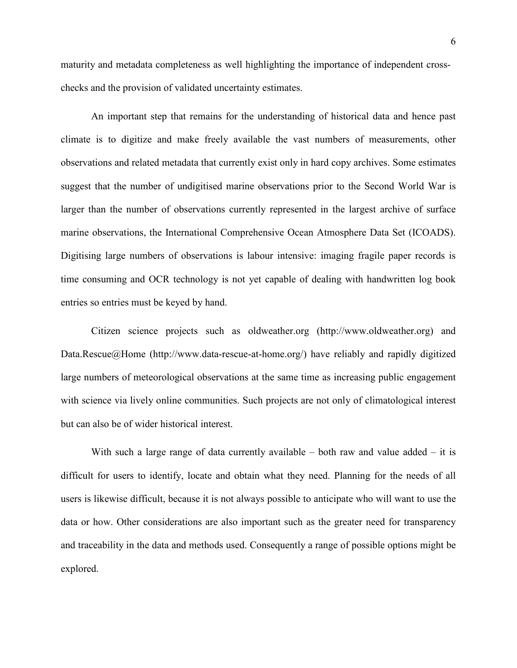maturity and metadata completeness as well highlighting the importance of independent crosschecks and the provision of validated uncertainty estimates.

An important step that remains for the understanding of historical data and hence past climate is to digitize and make freely available the vast numbers of measurements, other observations and related metadata that currently exist only in hard copy archives. Some estimates suggest that the number of undigitised marine observations prior to the Second World War is larger than the number of observations currently represented in the largest archive of surface marine observations, the International Comprehensive Ocean Atmosphere Data Set (ICOADS). Digitising large numbers of observations is labour intensive: imaging fragile paper records is time consuming and OCR technology is not yet capable of dealing with handwritten log book entries so entries must be keyed by hand.

Citizen science projects such as oldweather.org (http://www.oldweather.org) and Data.Rescue@Home (http://www.data-rescue-at-home.org/) have reliably and rapidly digitized large numbers of meteorological observations at the same time as increasing public engagement with science via lively online communities. Such projects are not only of climatological interest but can also be of wider historical interest.

With such a large range of data currently available  $-$  both raw and value added  $-$  it is difficult for users to identify, locate and obtain what they need. Planning for the needs of all users is likewise difficult, because it is not always possible to anticipate who will want to use the data or how. Other considerations are also important such as the greater need for transparency and traceability in the data and methods used. Consequently a range of possible options might be explored.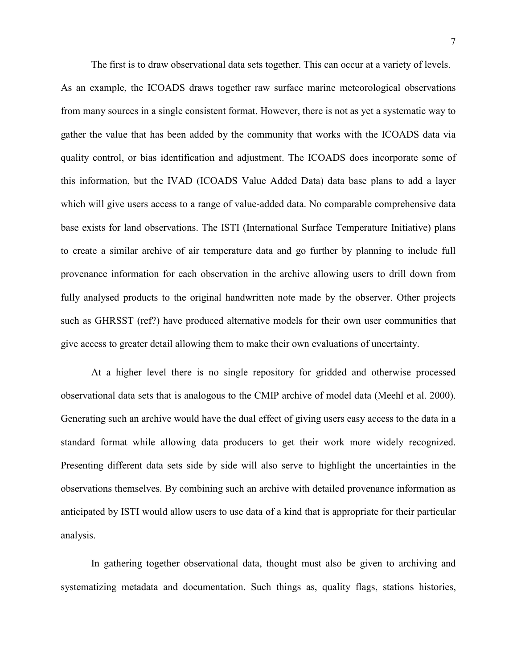The first is to draw observational data sets together. This can occur at a variety of levels. As an example, the ICOADS draws together raw surface marine meteorological observations from many sources in a single consistent format. However, there is not as yet a systematic way to gather the value that has been added by the community that works with the ICOADS data via quality control, or bias identification and adjustment. The ICOADS does incorporate some of this information, but the IVAD (ICOADS Value Added Data) data base plans to add a layer which will give users access to a range of value-added data. No comparable comprehensive data base exists for land observations. The ISTI (International Surface Temperature Initiative) plans to create a similar archive of air temperature data and go further by planning to include full provenance information for each observation in the archive allowing users to drill down from fully analysed products to the original handwritten note made by the observer. Other projects such as GHRSST (ref?) have produced alternative models for their own user communities that give access to greater detail allowing them to make their own evaluations of uncertainty.

At a higher level there is no single repository for gridded and otherwise processed observational data sets that is analogous to the CMIP archive of model data (Meehl et al. 2000). Generating such an archive would have the dual effect of giving users easy access to the data in a standard format while allowing data producers to get their work more widely recognized. Presenting different data sets side by side will also serve to highlight the uncertainties in the observations themselves. By combining such an archive with detailed provenance information as anticipated by ISTI would allow users to use data of a kind that is appropriate for their particular analysis.

In gathering together observational data, thought must also be given to archiving and systematizing metadata and documentation. Such things as, quality flags, stations histories,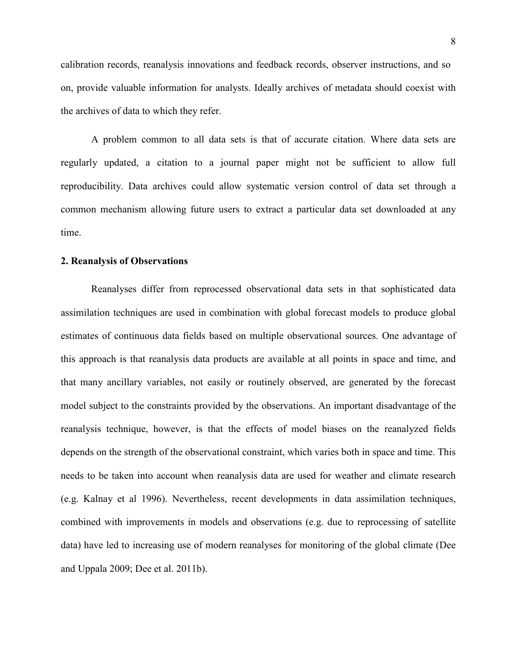calibration records, reanalysis innovations and feedback records, observer instructions, and so on, provide valuable information for analysts. Ideally archives of metadata should coexist with the archives of data to which they refer.

A problem common to all data sets is that of accurate citation. Where data sets are regularly updated, a citation to a journal paper might not be sufficient to allow full reproducibility. Data archives could allow systematic version control of data set through a common mechanism allowing future users to extract a particular data set downloaded at any time.

#### **2. Reanalysis of Observations**

Reanalyses differ from reprocessed observational data sets in that sophisticated data assimilation techniques are used in combination with global forecast models to produce global estimates of continuous data fields based on multiple observational sources. One advantage of this approach is that reanalysis data products are available at all points in space and time, and that many ancillary variables, not easily or routinely observed, are generated by the forecast model subject to the constraints provided by the observations. An important disadvantage of the reanalysis technique, however, is that the effects of model biases on the reanalyzed fields depends on the strength of the observational constraint, which varies both in space and time. This needs to be taken into account when reanalysis data are used for weather and climate research (e.g. Kalnay et al 1996). Nevertheless, recent developments in data assimilation techniques, combined with improvements in models and observations (e.g. due to reprocessing of satellite data) have led to increasing use of modern reanalyses for monitoring of the global climate (Dee and Uppala 2009; Dee et al. 2011b).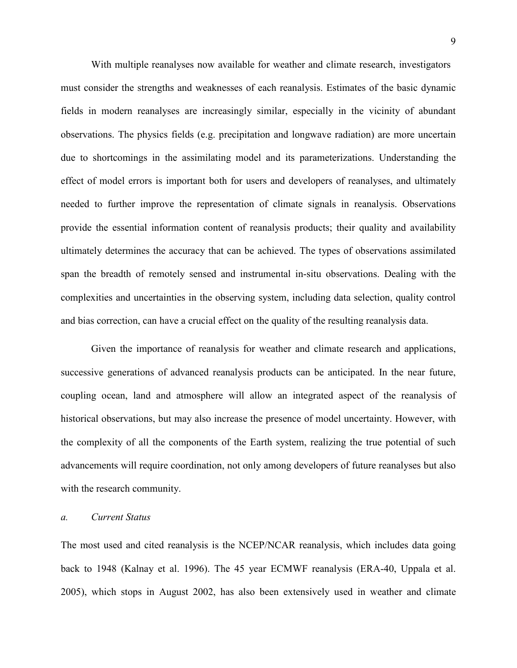With multiple reanalyses now available for weather and climate research, investigators must consider the strengths and weaknesses of each reanalysis. Estimates of the basic dynamic fields in modern reanalyses are increasingly similar, especially in the vicinity of abundant observations. The physics fields (e.g. precipitation and longwave radiation) are more uncertain due to shortcomings in the assimilating model and its parameterizations. Understanding the effect of model errors is important both for users and developers of reanalyses, and ultimately needed to further improve the representation of climate signals in reanalysis. Observations provide the essential information content of reanalysis products; their quality and availability ultimately determines the accuracy that can be achieved. The types of observations assimilated span the breadth of remotely sensed and instrumental in-situ observations. Dealing with the complexities and uncertainties in the observing system, including data selection, quality control and bias correction, can have a crucial effect on the quality of the resulting reanalysis data.

Given the importance of reanalysis for weather and climate research and applications, successive generations of advanced reanalysis products can be anticipated. In the near future, coupling ocean, land and atmosphere will allow an integrated aspect of the reanalysis of historical observations, but may also increase the presence of model uncertainty. However, with the complexity of all the components of the Earth system, realizing the true potential of such advancements will require coordination, not only among developers of future reanalyses but also with the research community.

#### *a. Current Status*

The most used and cited reanalysis is the NCEP/NCAR reanalysis, which includes data going back to 1948 (Kalnay et al. 1996). The 45 year ECMWF reanalysis (ERA-40, Uppala et al. 2005), which stops in August 2002, has also been extensively used in weather and climate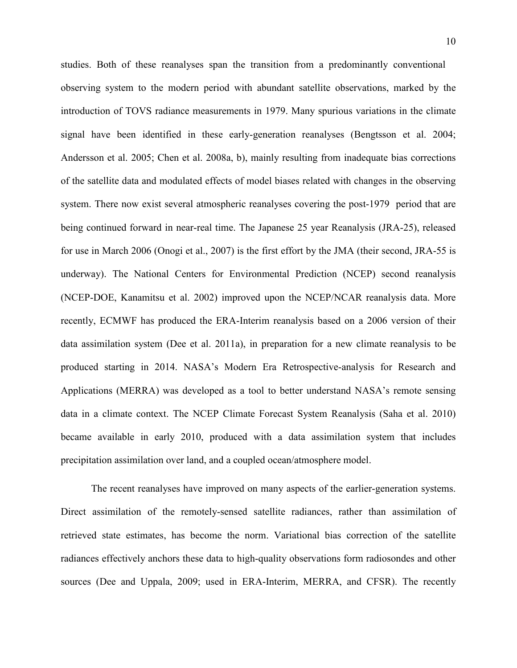studies. Both of these reanalyses span the transition from a predominantly conventional observing system to the modern period with abundant satellite observations, marked by the introduction of TOVS radiance measurements in 1979. Many spurious variations in the climate signal have been identified in these early-generation reanalyses (Bengtsson et al. 2004; Andersson et al. 2005; Chen et al. 2008a, b), mainly resulting from inadequate bias corrections of the satellite data and modulated effects of model biases related with changes in the observing system. There now exist several atmospheric reanalyses covering the post-1979 period that are being continued forward in near-real time. The Japanese 25 year Reanalysis (JRA-25), released for use in March 2006 (Onogi et al., 2007) is the first effort by the JMA (their second, JRA-55 is underway). The National Centers for Environmental Prediction (NCEP) second reanalysis (NCEP-DOE, Kanamitsu et al. 2002) improved upon the NCEP/NCAR reanalysis data. More recently, ECMWF has produced the ERA-Interim reanalysis based on a 2006 version of their data assimilation system (Dee et al. 2011a), in preparation for a new climate reanalysis to be produced starting in 2014. NASA's Modern Era Retrospective-analysis for Research and Applications (MERRA) was developed as a tool to better understand NASA's remote sensing data in a climate context. The NCEP Climate Forecast System Reanalysis (Saha et al. 2010) became available in early 2010, produced with a data assimilation system that includes precipitation assimilation over land, and a coupled ocean/atmosphere model.

The recent reanalyses have improved on many aspects of the earlier-generation systems. Direct assimilation of the remotely-sensed satellite radiances, rather than assimilation of retrieved state estimates, has become the norm. Variational bias correction of the satellite radiances effectively anchors these data to high-quality observations form radiosondes and other sources (Dee and Uppala, 2009; used in ERA-Interim, MERRA, and CFSR). The recently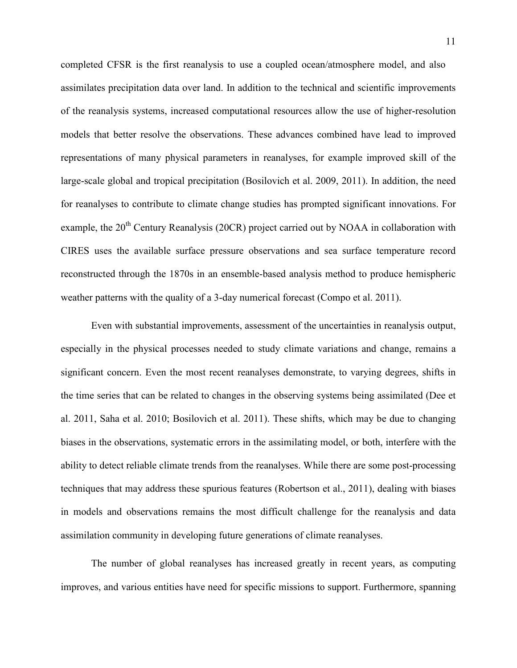completed CFSR is the first reanalysis to use a coupled ocean/atmosphere model, and also assimilates precipitation data over land. In addition to the technical and scientific improvements of the reanalysis systems, increased computational resources allow the use of higher-resolution models that better resolve the observations. These advances combined have lead to improved representations of many physical parameters in reanalyses, for example improved skill of the large-scale global and tropical precipitation (Bosilovich et al. 2009, 2011). In addition, the need for reanalyses to contribute to climate change studies has prompted significant innovations. For example, the  $20<sup>th</sup>$  Century Reanalysis (20CR) project carried out by NOAA in collaboration with CIRES uses the available surface pressure observations and sea surface temperature record reconstructed through the 1870s in an ensemble-based analysis method to produce hemispheric weather patterns with the quality of a 3-day numerical forecast (Compo et al. 2011).

Even with substantial improvements, assessment of the uncertainties in reanalysis output, especially in the physical processes needed to study climate variations and change, remains a significant concern. Even the most recent reanalyses demonstrate, to varying degrees, shifts in the time series that can be related to changes in the observing systems being assimilated (Dee et al. 2011, Saha et al. 2010; Bosilovich et al. 2011). These shifts, which may be due to changing biases in the observations, systematic errors in the assimilating model, or both, interfere with the ability to detect reliable climate trends from the reanalyses. While there are some post-processing techniques that may address these spurious features (Robertson et al., 2011), dealing with biases in models and observations remains the most difficult challenge for the reanalysis and data assimilation community in developing future generations of climate reanalyses.

The number of global reanalyses has increased greatly in recent years, as computing improves, and various entities have need for specific missions to support. Furthermore, spanning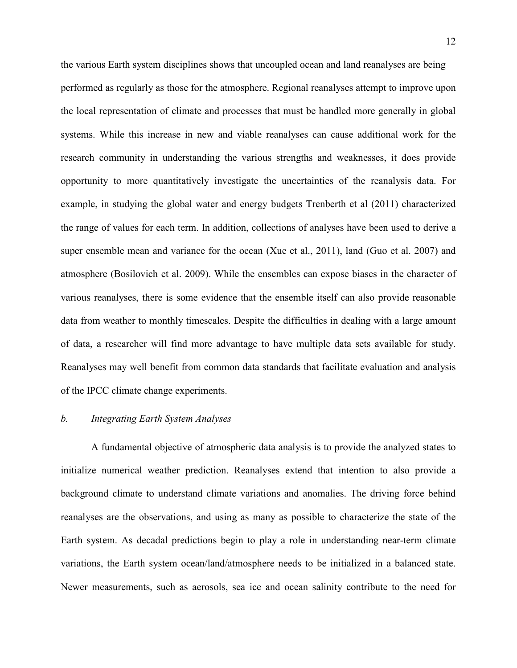the various Earth system disciplines shows that uncoupled ocean and land reanalyses are being performed as regularly as those for the atmosphere. Regional reanalyses attempt to improve upon the local representation of climate and processes that must be handled more generally in global systems. While this increase in new and viable reanalyses can cause additional work for the research community in understanding the various strengths and weaknesses, it does provide opportunity to more quantitatively investigate the uncertainties of the reanalysis data. For example, in studying the global water and energy budgets Trenberth et al (2011) characterized the range of values for each term. In addition, collections of analyses have been used to derive a super ensemble mean and variance for the ocean (Xue et al., 2011), land (Guo et al. 2007) and atmosphere (Bosilovich et al. 2009). While the ensembles can expose biases in the character of various reanalyses, there is some evidence that the ensemble itself can also provide reasonable data from weather to monthly timescales. Despite the difficulties in dealing with a large amount of data, a researcher will find more advantage to have multiple data sets available for study. Reanalyses may well benefit from common data standards that facilitate evaluation and analysis of the IPCC climate change experiments.

#### *b. Integrating Earth System Analyses*

A fundamental objective of atmospheric data analysis is to provide the analyzed states to initialize numerical weather prediction. Reanalyses extend that intention to also provide a background climate to understand climate variations and anomalies. The driving force behind reanalyses are the observations, and using as many as possible to characterize the state of the Earth system. As decadal predictions begin to play a role in understanding near-term climate variations, the Earth system ocean/land/atmosphere needs to be initialized in a balanced state. Newer measurements, such as aerosols, sea ice and ocean salinity contribute to the need for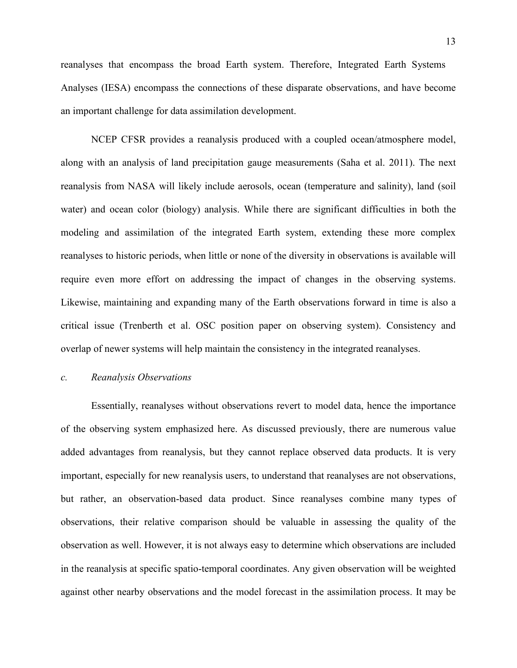reanalyses that encompass the broad Earth system. Therefore, Integrated Earth Systems Analyses (IESA) encompass the connections of these disparate observations, and have become an important challenge for data assimilation development.

NCEP CFSR provides a reanalysis produced with a coupled ocean/atmosphere model, along with an analysis of land precipitation gauge measurements (Saha et al. 2011). The next reanalysis from NASA will likely include aerosols, ocean (temperature and salinity), land (soil water) and ocean color (biology) analysis. While there are significant difficulties in both the modeling and assimilation of the integrated Earth system, extending these more complex reanalyses to historic periods, when little or none of the diversity in observations is available will require even more effort on addressing the impact of changes in the observing systems. Likewise, maintaining and expanding many of the Earth observations forward in time is also a critical issue (Trenberth et al. OSC position paper on observing system). Consistency and overlap of newer systems will help maintain the consistency in the integrated reanalyses.

### *c. Reanalysis Observations*

 Essentially, reanalyses without observations revert to model data, hence the importance of the observing system emphasized here. As discussed previously, there are numerous value added advantages from reanalysis, but they cannot replace observed data products. It is very important, especially for new reanalysis users, to understand that reanalyses are not observations, but rather, an observation-based data product. Since reanalyses combine many types of observations, their relative comparison should be valuable in assessing the quality of the observation as well. However, it is not always easy to determine which observations are included in the reanalysis at specific spatio-temporal coordinates. Any given observation will be weighted against other nearby observations and the model forecast in the assimilation process. It may be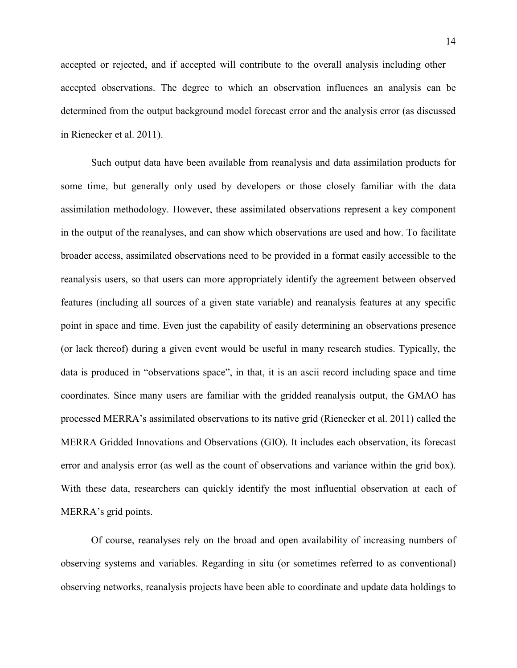accepted or rejected, and if accepted will contribute to the overall analysis including other accepted observations. The degree to which an observation influences an analysis can be determined from the output background model forecast error and the analysis error (as discussed in Rienecker et al. 2011).

Such output data have been available from reanalysis and data assimilation products for some time, but generally only used by developers or those closely familiar with the data assimilation methodology. However, these assimilated observations represent a key component in the output of the reanalyses, and can show which observations are used and how. To facilitate broader access, assimilated observations need to be provided in a format easily accessible to the reanalysis users, so that users can more appropriately identify the agreement between observed features (including all sources of a given state variable) and reanalysis features at any specific point in space and time. Even just the capability of easily determining an observations presence (or lack thereof) during a given event would be useful in many research studies. Typically, the data is produced in "observations space", in that, it is an ascii record including space and time coordinates. Since many users are familiar with the gridded reanalysis output, the GMAO has processed MERRA's assimilated observations to its native grid (Rienecker et al. 2011) called the MERRA Gridded Innovations and Observations (GIO). It includes each observation, its forecast error and analysis error (as well as the count of observations and variance within the grid box). With these data, researchers can quickly identify the most influential observation at each of MERRA's grid points.

Of course, reanalyses rely on the broad and open availability of increasing numbers of observing systems and variables. Regarding in situ (or sometimes referred to as conventional) observing networks, reanalysis projects have been able to coordinate and update data holdings to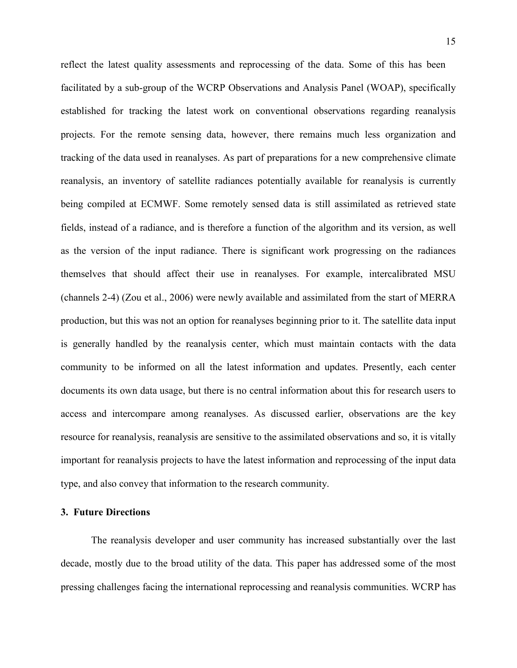reflect the latest quality assessments and reprocessing of the data. Some of this has been facilitated by a sub-group of the WCRP Observations and Analysis Panel (WOAP), specifically established for tracking the latest work on conventional observations regarding reanalysis projects. For the remote sensing data, however, there remains much less organization and tracking of the data used in reanalyses. As part of preparations for a new comprehensive climate reanalysis, an inventory of satellite radiances potentially available for reanalysis is currently being compiled at ECMWF. Some remotely sensed data is still assimilated as retrieved state fields, instead of a radiance, and is therefore a function of the algorithm and its version, as well as the version of the input radiance. There is significant work progressing on the radiances themselves that should affect their use in reanalyses. For example, intercalibrated MSU (channels 2-4) (Zou et al., 2006) were newly available and assimilated from the start of MERRA production, but this was not an option for reanalyses beginning prior to it. The satellite data input is generally handled by the reanalysis center, which must maintain contacts with the data community to be informed on all the latest information and updates. Presently, each center documents its own data usage, but there is no central information about this for research users to access and intercompare among reanalyses. As discussed earlier, observations are the key resource for reanalysis, reanalysis are sensitive to the assimilated observations and so, it is vitally important for reanalysis projects to have the latest information and reprocessing of the input data type, and also convey that information to the research community.

#### **3. Future Directions**

The reanalysis developer and user community has increased substantially over the last decade, mostly due to the broad utility of the data. This paper has addressed some of the most pressing challenges facing the international reprocessing and reanalysis communities. WCRP has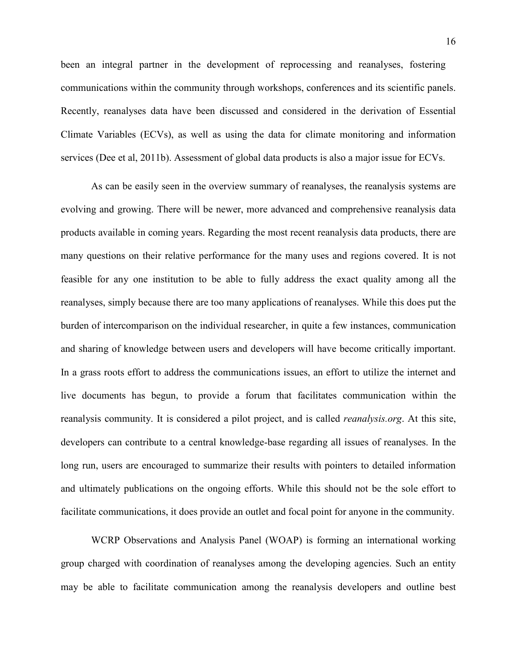been an integral partner in the development of reprocessing and reanalyses, fostering communications within the community through workshops, conferences and its scientific panels. Recently, reanalyses data have been discussed and considered in the derivation of Essential Climate Variables (ECVs), as well as using the data for climate monitoring and information services (Dee et al, 2011b). Assessment of global data products is also a major issue for ECVs.

As can be easily seen in the overview summary of reanalyses, the reanalysis systems are evolving and growing. There will be newer, more advanced and comprehensive reanalysis data products available in coming years. Regarding the most recent reanalysis data products, there are many questions on their relative performance for the many uses and regions covered. It is not feasible for any one institution to be able to fully address the exact quality among all the reanalyses, simply because there are too many applications of reanalyses. While this does put the burden of intercomparison on the individual researcher, in quite a few instances, communication and sharing of knowledge between users and developers will have become critically important. In a grass roots effort to address the communications issues, an effort to utilize the internet and live documents has begun, to provide a forum that facilitates communication within the reanalysis community. It is considered a pilot project, and is called *reanalysis.org*. At this site, developers can contribute to a central knowledge-base regarding all issues of reanalyses. In the long run, users are encouraged to summarize their results with pointers to detailed information and ultimately publications on the ongoing efforts. While this should not be the sole effort to facilitate communications, it does provide an outlet and focal point for anyone in the community.

WCRP Observations and Analysis Panel (WOAP) is forming an international working group charged with coordination of reanalyses among the developing agencies. Such an entity may be able to facilitate communication among the reanalysis developers and outline best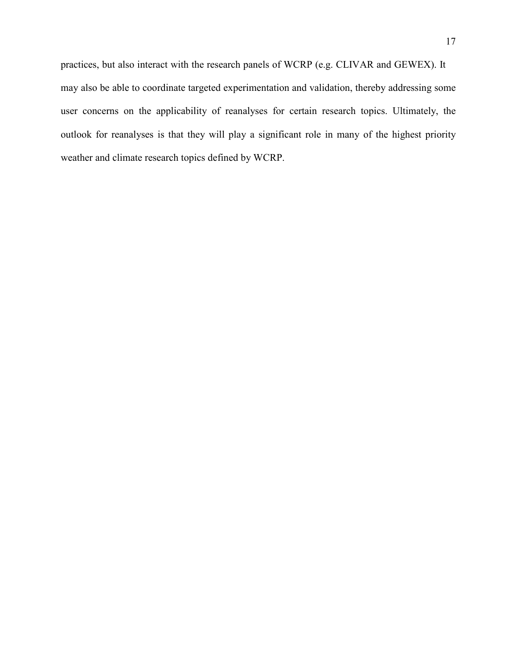practices, but also interact with the research panels of WCRP (e.g. CLIVAR and GEWEX). It may also be able to coordinate targeted experimentation and validation, thereby addressing some user concerns on the applicability of reanalyses for certain research topics. Ultimately, the outlook for reanalyses is that they will play a significant role in many of the highest priority weather and climate research topics defined by WCRP.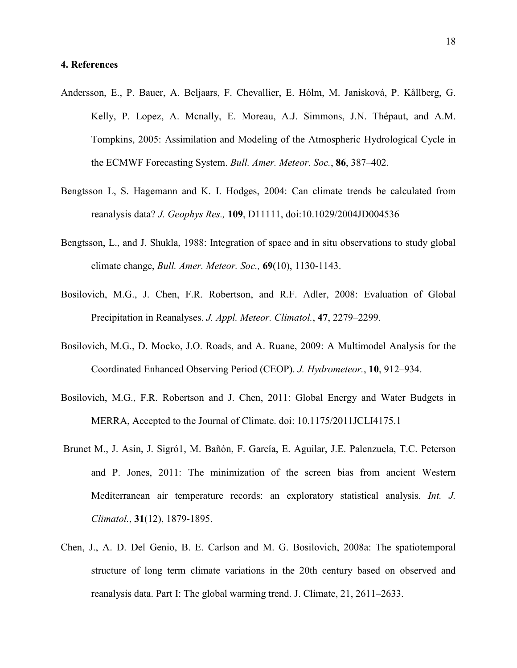#### **4. References**

- Andersson, E., P. Bauer, A. Beljaars, F. Chevallier, E. Hólm, M. Janisková, P. Kållberg, G. Kelly, P. Lopez, A. Mcnally, E. Moreau, A.J. Simmons, J.N. Thépaut, and A.M. Tompkins, 2005: Assimilation and Modeling of the Atmospheric Hydrological Cycle in the ECMWF Forecasting System. *Bull. Amer. Meteor. Soc.*, **86**, 387–402.
- Bengtsson L, S. Hagemann and K. I. Hodges, 2004: Can climate trends be calculated from reanalysis data? *J. Geophys Res.,* **109**, D11111, doi:10.1029/2004JD004536
- Bengtsson, L., and J. Shukla, 1988: Integration of space and in situ observations to study global climate change, *Bull. Amer. Meteor. Soc.,* **69**(10), 1130-1143.
- Bosilovich, M.G., J. Chen, F.R. Robertson, and R.F. Adler, 2008: Evaluation of Global Precipitation in Reanalyses. *J. Appl. Meteor. Climatol.*, **47**, 2279–2299.
- Bosilovich, M.G., D. Mocko, J.O. Roads, and A. Ruane, 2009: A Multimodel Analysis for the Coordinated Enhanced Observing Period (CEOP). *J. Hydrometeor.*, **10**, 912–934.
- Bosilovich, M.G., F.R. Robertson and J. Chen, 2011: Global Energy and Water Budgets in MERRA, Accepted to the Journal of Climate. doi: 10.1175/2011JCLI4175.1
- Brunet M., J. Asin, J. Sigró1, M. Bañón, F. García, E. Aguilar, J.E. Palenzuela, T.C. Peterson and P. Jones, 2011: The minimization of the screen bias from ancient Western Mediterranean air temperature records: an exploratory statistical analysis. *Int. J. Climatol.*, **31**(12), 1879-1895.
- Chen, J., A. D. Del Genio, B. E. Carlson and M. G. Bosilovich, 2008a: The spatiotemporal structure of long term climate variations in the 20th century based on observed and reanalysis data. Part I: The global warming trend. J. Climate, 21, 2611–2633.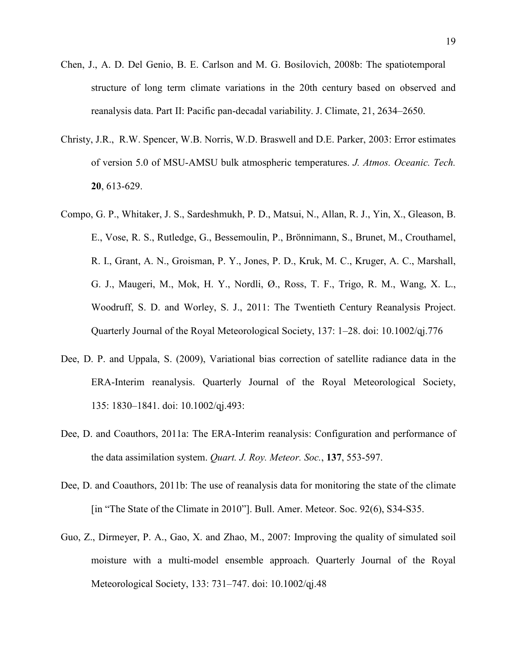- Chen, J., A. D. Del Genio, B. E. Carlson and M. G. Bosilovich, 2008b: The spatiotemporal structure of long term climate variations in the 20th century based on observed and reanalysis data. Part II: Pacific pan-decadal variability. J. Climate, 21, 2634–2650.
- Christy, J.R., R.W. Spencer, W.B. Norris, W.D. Braswell and D.E. Parker, 2003: Error estimates of version 5.0 of MSU-AMSU bulk atmospheric temperatures. *J. Atmos. Oceanic. Tech.* **20**, 613-629.
- Compo, G. P., Whitaker, J. S., Sardeshmukh, P. D., Matsui, N., Allan, R. J., Yin, X., Gleason, B. E., Vose, R. S., Rutledge, G., Bessemoulin, P., Brönnimann, S., Brunet, M., Crouthamel, R. I., Grant, A. N., Groisman, P. Y., Jones, P. D., Kruk, M. C., Kruger, A. C., Marshall, G. J., Maugeri, M., Mok, H. Y., Nordli, Ø., Ross, T. F., Trigo, R. M., Wang, X. L., Woodruff, S. D. and Worley, S. J., 2011: The Twentieth Century Reanalysis Project. Quarterly Journal of the Royal Meteorological Society, 137: 1–28. doi: 10.1002/qj.776
- Dee, D. P. and Uppala, S. (2009), Variational bias correction of satellite radiance data in the ERA-Interim reanalysis. Quarterly Journal of the Royal Meteorological Society, 135: 1830–1841. doi: 10.1002/qj.493:
- Dee, D. and Coauthors, 2011a: The ERA-Interim reanalysis: Configuration and performance of the data assimilation system. *Quart. J. Roy. Meteor. Soc.*, **137**, 553-597.
- Dee, D. and Coauthors, 2011b: The use of reanalysis data for monitoring the state of the climate [in "The State of the Climate in 2010"]. Bull. Amer. Meteor. Soc. 92(6), S34-S35.
- Guo, Z., Dirmeyer, P. A., Gao, X. and Zhao, M., 2007: Improving the quality of simulated soil moisture with a multi-model ensemble approach. Quarterly Journal of the Royal Meteorological Society, 133: 731–747. doi: 10.1002/qj.48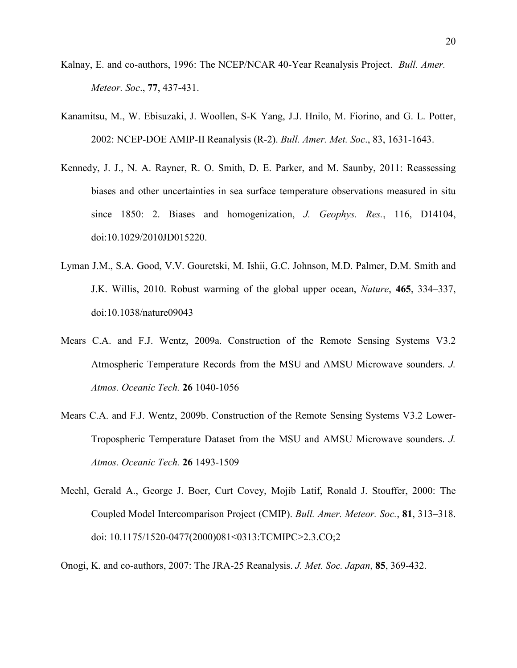- Kalnay, E. and co-authors, 1996: The NCEP/NCAR 40-Year Reanalysis Project. *Bull. Amer. Meteor. Soc*., **77**, 437-431.
- Kanamitsu, M., W. Ebisuzaki, J. Woollen, S-K Yang, J.J. Hnilo, M. Fiorino, and G. L. Potter, 2002: NCEP-DOE AMIP-II Reanalysis (R-2). *Bull. Amer. Met. Soc*., 83, 1631-1643.
- Kennedy, J. J., N. A. Rayner, R. O. Smith, D. E. Parker, and M. Saunby, 2011: Reassessing biases and other uncertainties in sea surface temperature observations measured in situ since 1850: 2. Biases and homogenization, *J. Geophys. Res.*, 116, D14104, doi:10.1029/2010JD015220.
- Lyman J.M., S.A. Good, V.V. Gouretski, M. Ishii, G.C. Johnson, M.D. Palmer, D.M. Smith and J.K. Willis, 2010. Robust warming of the global upper ocean, *Nature*, **465**, 334–337, doi:10.1038/nature09043
- Mears C.A. and F.J. Wentz, 2009a. Construction of the Remote Sensing Systems V3.2 Atmospheric Temperature Records from the MSU and AMSU Microwave sounders. *J. Atmos. Oceanic Tech.* **26** 1040-1056
- Mears C.A. and F.J. Wentz, 2009b. Construction of the Remote Sensing Systems V3.2 Lower-Tropospheric Temperature Dataset from the MSU and AMSU Microwave sounders. *J. Atmos. Oceanic Tech.* **26** 1493-1509
- Meehl, Gerald A., George J. Boer, Curt Covey, Mojib Latif, Ronald J. Stouffer, 2000: The Coupled Model Intercomparison Project (CMIP). *Bull. Amer. Meteor. Soc.*, **81**, 313–318. doi: 10.1175/1520-0477(2000)081<0313:TCMIPC>2.3.CO;2
- Onogi, K. and co-authors, 2007: The JRA-25 Reanalysis. *J. Met. Soc. Japan*, **85**, 369-432.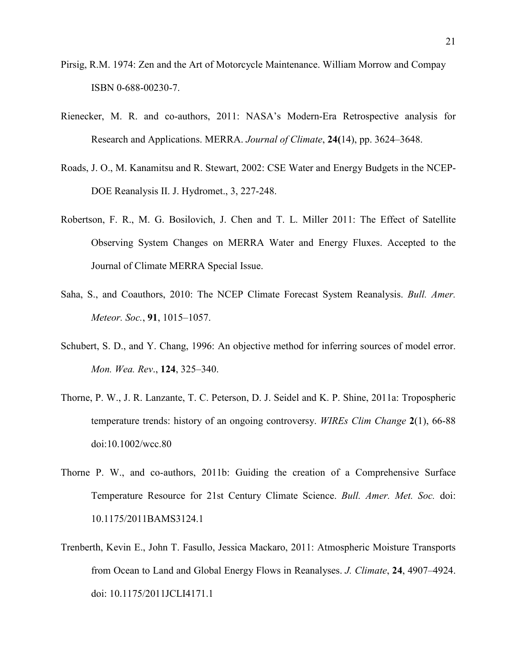- Pirsig, R.M. 1974: Zen and the Art of Motorcycle Maintenance. William Morrow and Compay ISBN 0-688-00230-7.
- Rienecker, M. R. and co-authors, 2011: NASA's Modern-Era Retrospective analysis for Research and Applications. MERRA. *Journal of Climate*, **24(**14), pp. 3624–3648.
- Roads, J. O., M. Kanamitsu and R. Stewart, 2002: CSE Water and Energy Budgets in the NCEP-DOE Reanalysis II. J. Hydromet., 3, 227-248.
- Robertson, F. R., M. G. Bosilovich, J. Chen and T. L. Miller 2011: The Effect of Satellite Observing System Changes on MERRA Water and Energy Fluxes. Accepted to the Journal of Climate MERRA Special Issue.
- Saha, S., and Coauthors, 2010: The NCEP Climate Forecast System Reanalysis. *Bull. Amer. Meteor. Soc.*, **91**, 1015–1057.
- Schubert, S. D., and Y. Chang, 1996: An objective method for inferring sources of model error. *Mon. Wea. Rev*., **124**, 325–340.
- Thorne, P. W., J. R. Lanzante, T. C. Peterson, D. J. Seidel and K. P. Shine, 2011a: Tropospheric temperature trends: history of an ongoing controversy. *WIREs Clim Change* **2**(1), 66-88 doi:10.1002/wcc.80
- Thorne P. W., and co-authors, 2011b: Guiding the creation of a Comprehensive Surface Temperature Resource for 21st Century Climate Science. *Bull. Amer. Met. Soc.* doi: 10.1175/2011BAMS3124.1
- Trenberth, Kevin E., John T. Fasullo, Jessica Mackaro, 2011: Atmospheric Moisture Transports from Ocean to Land and Global Energy Flows in Reanalyses. *J. Climate*, **24**, 4907–4924. doi: 10.1175/2011JCLI4171.1